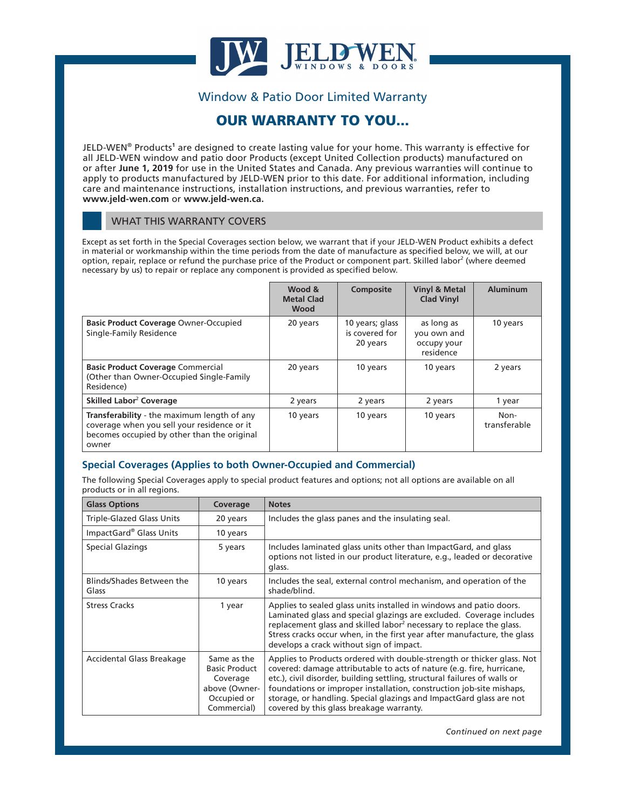

# Window & Patio Door Limited Warranty

# OUR WARRANTY TO YOU...

JELD-WEN® Products**<sup>1</sup>** are designed to create lasting value for your home. This warranty is effective for all JELD-WEN window and patio door Products (except United Collection products) manufactured on or after **June 1, 2019** for use in the United States and Canada. Any previous warranties will continue to apply to products manufactured by JELD-WEN prior to this date. For additional information, including care and maintenance instructions, installation instructions, and previous warranties, refer to **www.jeld-wen.com** or **www.jeld-wen.ca.**

#### WHAT THIS WARRANTY COVERS

Except as set forth in the Special Coverages section below, we warrant that if your JELD-WEN Product exhibits a defect in material or workmanship within the time periods from the date of manufacture as specified below, we will, at our option, repair, replace or refund the purchase price of the Product or component part. Skilled labor<sup>2</sup> (where deemed necessary by us) to repair or replace any component is provided as specified below.

|                                                                                                                                                    | Wood &<br><b>Metal Clad</b><br>Wood | Composite                                     | <b>Vinyl &amp; Metal</b><br><b>Clad Vinyl</b>         | <b>Aluminum</b>      |
|----------------------------------------------------------------------------------------------------------------------------------------------------|-------------------------------------|-----------------------------------------------|-------------------------------------------------------|----------------------|
| <b>Basic Product Coverage Owner-Occupied</b><br>Single-Family Residence                                                                            | 20 years                            | 10 years; glass<br>is covered for<br>20 years | as long as<br>you own and<br>occupy your<br>residence | 10 years             |
| <b>Basic Product Coverage Commercial</b><br>(Other than Owner-Occupied Single-Family<br>Residence)                                                 | 20 years                            | 10 years                                      | 10 years                                              | 2 years              |
| Skilled Labor <sup>2</sup> Coverage                                                                                                                | 2 years                             | 2 years                                       | 2 years                                               | 1 year               |
| Transferability - the maximum length of any<br>coverage when you sell your residence or it<br>becomes occupied by other than the original<br>owner | 10 years                            | 10 years                                      | 10 years                                              | Non-<br>transferable |

### **Special Coverages (Applies to both Owner-Occupied and Commercial)**

The following Special Coverages apply to special product features and options; not all options are available on all products or in all regions.

| <b>Glass Options</b>               | Coverage                                                                                       | <b>Notes</b>                                                                                                                                                                                                                                                                                                                                                                                                            |
|------------------------------------|------------------------------------------------------------------------------------------------|-------------------------------------------------------------------------------------------------------------------------------------------------------------------------------------------------------------------------------------------------------------------------------------------------------------------------------------------------------------------------------------------------------------------------|
| <b>Triple-Glazed Glass Units</b>   | 20 years                                                                                       | Includes the glass panes and the insulating seal.                                                                                                                                                                                                                                                                                                                                                                       |
| ImpactGard® Glass Units            | 10 years                                                                                       |                                                                                                                                                                                                                                                                                                                                                                                                                         |
| Special Glazings                   | 5 years                                                                                        | Includes laminated glass units other than ImpactGard, and glass<br>options not listed in our product literature, e.g., leaded or decorative<br>glass.                                                                                                                                                                                                                                                                   |
| Blinds/Shades Between the<br>Glass | 10 years                                                                                       | Includes the seal, external control mechanism, and operation of the<br>shade/blind.                                                                                                                                                                                                                                                                                                                                     |
| <b>Stress Cracks</b>               | 1 year                                                                                         | Applies to sealed glass units installed in windows and patio doors.<br>Laminated glass and special glazings are excluded. Coverage includes<br>replacement glass and skilled labor <sup>2</sup> necessary to replace the glass.<br>Stress cracks occur when, in the first year after manufacture, the glass<br>develops a crack without sign of impact.                                                                 |
| Accidental Glass Breakage          | Same as the<br><b>Basic Product</b><br>Coverage<br>above (Owner-<br>Occupied or<br>Commercial) | Applies to Products ordered with double-strength or thicker glass. Not<br>covered: damage attributable to acts of nature (e.g. fire, hurricane,<br>etc.), civil disorder, building settling, structural failures of walls or<br>foundations or improper installation, construction job-site mishaps,<br>storage, or handling. Special glazings and ImpactGard glass are not<br>covered by this glass breakage warranty. |

*Continued on next page*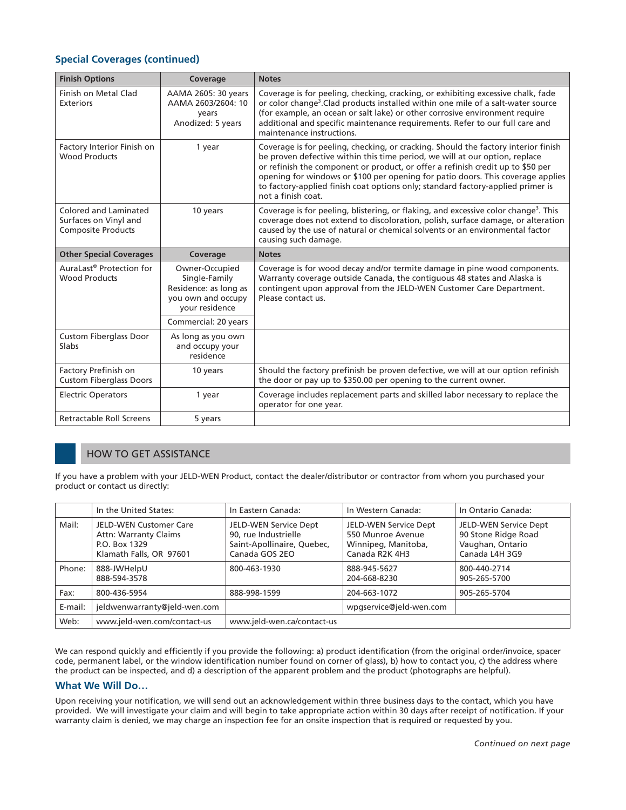## **Special Coverages (continued)**

| <b>Finish Options</b>                                                       | Coverage                                                                                         | <b>Notes</b>                                                                                                                                                                                                                                                                                                                                                                                                                                     |
|-----------------------------------------------------------------------------|--------------------------------------------------------------------------------------------------|--------------------------------------------------------------------------------------------------------------------------------------------------------------------------------------------------------------------------------------------------------------------------------------------------------------------------------------------------------------------------------------------------------------------------------------------------|
| Finish on Metal Clad<br><b>Exteriors</b>                                    | AAMA 2605: 30 years<br>AAMA 2603/2604: 10<br>vears<br>Anodized: 5 years                          | Coverage is for peeling, checking, cracking, or exhibiting excessive chalk, fade<br>or color change <sup>3</sup> . Clad products installed within one mile of a salt-water source<br>(for example, an ocean or salt lake) or other corrosive environment require<br>additional and specific maintenance requirements. Refer to our full care and<br>maintenance instructions.                                                                    |
| Factory Interior Finish on<br><b>Wood Products</b>                          | 1 year                                                                                           | Coverage is for peeling, checking, or cracking. Should the factory interior finish<br>be proven defective within this time period, we will at our option, replace<br>or refinish the component or product, or offer a refinish credit up to \$50 per<br>opening for windows or \$100 per opening for patio doors. This coverage applies<br>to factory-applied finish coat options only; standard factory-applied primer is<br>not a finish coat. |
| Colored and Laminated<br>Surfaces on Vinyl and<br><b>Composite Products</b> | 10 years                                                                                         | Coverage is for peeling, blistering, or flaking, and excessive color change <sup>3</sup> . This<br>coverage does not extend to discoloration, polish, surface damage, or alteration<br>caused by the use of natural or chemical solvents or an environmental factor<br>causing such damage.                                                                                                                                                      |
|                                                                             |                                                                                                  |                                                                                                                                                                                                                                                                                                                                                                                                                                                  |
| <b>Other Special Coverages</b>                                              | Coverage                                                                                         | <b>Notes</b>                                                                                                                                                                                                                                                                                                                                                                                                                                     |
| AuraLast <sup>®</sup> Protection for<br><b>Wood Products</b>                | Owner-Occupied<br>Single-Family<br>Residence: as long as<br>you own and occupy<br>your residence | Coverage is for wood decay and/or termite damage in pine wood components.<br>Warranty coverage outside Canada, the contiguous 48 states and Alaska is<br>contingent upon approval from the JELD-WEN Customer Care Department.<br>Please contact us.                                                                                                                                                                                              |
|                                                                             | Commercial: 20 years                                                                             |                                                                                                                                                                                                                                                                                                                                                                                                                                                  |
| <b>Custom Fiberglass Door</b><br>Slabs                                      | As long as you own<br>and occupy your<br>residence                                               |                                                                                                                                                                                                                                                                                                                                                                                                                                                  |
| Factory Prefinish on<br><b>Custom Fiberglass Doors</b>                      | 10 years                                                                                         | Should the factory prefinish be proven defective, we will at our option refinish<br>the door or pay up to \$350.00 per opening to the current owner.                                                                                                                                                                                                                                                                                             |
| <b>Electric Operators</b>                                                   | 1 year                                                                                           | Coverage includes replacement parts and skilled labor necessary to replace the<br>operator for one year.                                                                                                                                                                                                                                                                                                                                         |

## HOW TO GET ASSISTANCE

If you have a problem with your JELD-WEN Product, contact the dealer/distributor or contractor from whom you purchased your product or contact us directly:

|         | In the United States:                                                                                     | In Eastern Canada:                                                                            | In Western Canada:                                                                  | In Ontario Canada:                                                                 |
|---------|-----------------------------------------------------------------------------------------------------------|-----------------------------------------------------------------------------------------------|-------------------------------------------------------------------------------------|------------------------------------------------------------------------------------|
| Mail:   | <b>JELD-WEN Customer Care</b><br><b>Attn: Warranty Claims</b><br>P.O. Box 1329<br>Klamath Falls, OR 97601 | JELD-WEN Service Dept<br>90, rue Industrielle<br>Saint-Apollinaire, Quebec,<br>Canada GOS 2EO | JELD-WEN Service Dept<br>550 Munroe Avenue<br>Winnipeg, Manitoba,<br>Canada R2K 4H3 | JELD-WEN Service Dept<br>90 Stone Ridge Road<br>Vaughan, Ontario<br>Canada L4H 3G9 |
| Phone:  | 888-JWHelpU<br>888-594-3578                                                                               | 800-463-1930                                                                                  | 888-945-5627<br>204-668-8230                                                        | 800-440-2714<br>905-265-5700                                                       |
| Fax:    | 800-436-5954                                                                                              | 888-998-1599                                                                                  | 204-663-1072                                                                        | 905-265-5704                                                                       |
| E-mail: | jeldwenwarranty@jeld-wen.com                                                                              |                                                                                               | wpgservice@jeld-wen.com                                                             |                                                                                    |
| Web:    | www.jeld-wen.com/contact-us                                                                               | www.jeld-wen.ca/contact-us                                                                    |                                                                                     |                                                                                    |

We can respond quickly and efficiently if you provide the following: a) product identification (from the original order/invoice, spacer code, permanent label, or the window identification number found on corner of glass), b) how to contact you, c) the address where the product can be inspected, and d) a description of the apparent problem and the product (photographs are helpful).

#### **What We Will Do…**

Upon receiving your notification, we will send out an acknowledgement within three business days to the contact, which you have provided. We will investigate your claim and will begin to take appropriate action within 30 days after receipt of notification. If your warranty claim is denied, we may charge an inspection fee for an onsite inspection that is required or requested by you.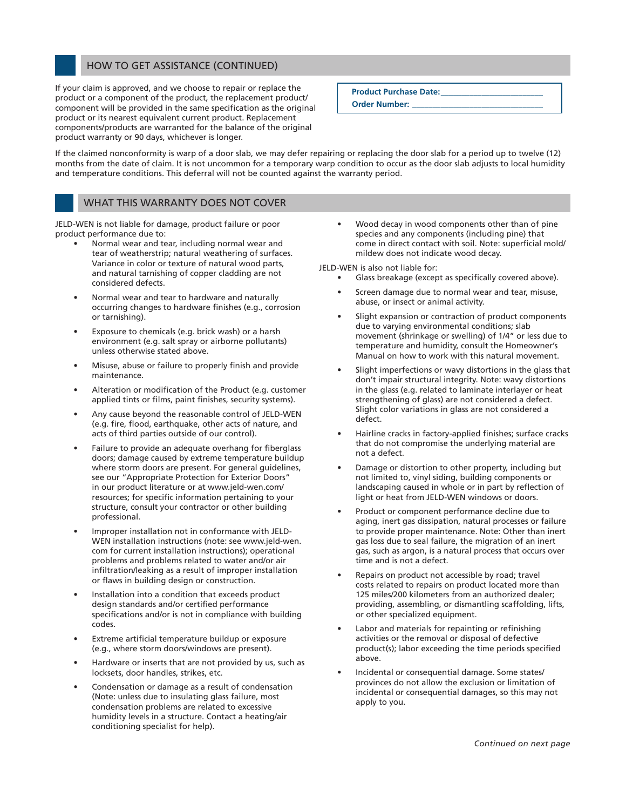#### HOW TO GET ASSISTANCE (CONTINUED)

If your claim is approved, and we choose to repair or replace the product or a component of the product, the replacement product/ component will be provided in the same specification as the original product or its nearest equivalent current product. Replacement components/products are warranted for the balance of the original product warranty or 90 days, whichever is longer.

**Product Purchase Date:** 

**Order Number: \_\_\_\_\_\_\_\_\_\_\_\_\_\_\_\_\_\_\_\_\_\_\_\_\_\_\_\_\_\_\_\_**

If the claimed nonconformity is warp of a door slab, we may defer repairing or replacing the door slab for a period up to twelve (12) months from the date of claim. It is not uncommon for a temporary warp condition to occur as the door slab adjusts to local humidity and temperature conditions. This deferral will not be counted against the warranty period.

# WHAT THIS WARRANTY DOES NOT COVER

JELD-WEN is not liable for damage, product failure or poor product performance due to:

- Normal wear and tear, including normal wear and tear of weatherstrip; natural weathering of surfaces. Variance in color or texture of natural wood parts, and natural tarnishing of copper cladding are not considered defects.
- Normal wear and tear to hardware and naturally occurring changes to hardware finishes (e.g., corrosion or tarnishing).
- Exposure to chemicals (e.g. brick wash) or a harsh environment (e.g. salt spray or airborne pollutants) unless otherwise stated above.
- Misuse, abuse or failure to properly finish and provide maintenance.
- Alteration or modification of the Product (e.g. customer applied tints or films, paint finishes, security systems).
- Any cause beyond the reasonable control of JELD-WEN (e.g. fire, flood, earthquake, other acts of nature, and acts of third parties outside of our control).
- Failure to provide an adequate overhang for fiberglass doors; damage caused by extreme temperature buildup where storm doors are present. For general guidelines, see our "Appropriate Protection for Exterior Doors" in our product literature or at www.jeld-wen.com/ resources; for specific information pertaining to your structure, consult your contractor or other building professional.
- Improper installation not in conformance with JELD-WEN installation instructions (note: see www.jeld-wen. com for current installation instructions); operational problems and problems related to water and/or air infiltration/leaking as a result of improper installation or flaws in building design or construction.
- Installation into a condition that exceeds product design standards and/or certified performance specifications and/or is not in compliance with building codes.
- Extreme artificial temperature buildup or exposure (e.g., where storm doors/windows are present).
- Hardware or inserts that are not provided by us, such as locksets, door handles, strikes, etc.
- Condensation or damage as a result of condensation (Note: unless due to insulating glass failure, most condensation problems are related to excessive humidity levels in a structure. Contact a heating/air conditioning specialist for help).

Wood decay in wood components other than of pine species and any components (including pine) that come in direct contact with soil. Note: superficial mold/ mildew does not indicate wood decay.

JELD-WEN is also not liable for:

- Glass breakage (except as specifically covered above).
- Screen damage due to normal wear and tear, misuse, abuse, or insect or animal activity.
- Slight expansion or contraction of product components due to varying environmental conditions; slab movement (shrinkage or swelling) of 1/4" or less due to temperature and humidity, consult the Homeowner's Manual on how to work with this natural movement.
- Slight imperfections or wavy distortions in the glass that don't impair structural integrity. Note: wavy distortions in the glass (e.g. related to laminate interlayer or heat strengthening of glass) are not considered a defect. Slight color variations in glass are not considered a defect.
- Hairline cracks in factory-applied finishes; surface cracks that do not compromise the underlying material are not a defect.
- Damage or distortion to other property, including but not limited to, vinyl siding, building components or landscaping caused in whole or in part by reflection of light or heat from JELD-WEN windows or doors.
- Product or component performance decline due to aging, inert gas dissipation, natural processes or failure to provide proper maintenance. Note: Other than inert gas loss due to seal failure, the migration of an inert gas, such as argon, is a natural process that occurs over time and is not a defect.
- Repairs on product not accessible by road; travel costs related to repairs on product located more than 125 miles/200 kilometers from an authorized dealer; providing, assembling, or dismantling scaffolding, lifts, or other specialized equipment.
- Labor and materials for repainting or refinishing activities or the removal or disposal of defective product(s); labor exceeding the time periods specified above.
- Incidental or consequential damage. Some states/ provinces do not allow the exclusion or limitation of incidental or consequential damages, so this may not apply to you.